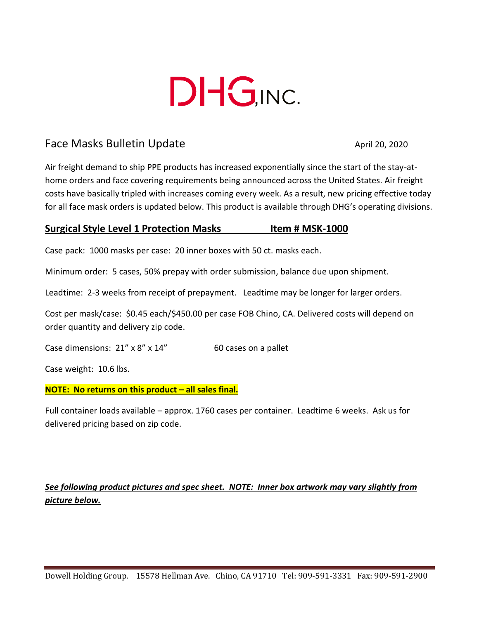

# Face Masks Bulletin Update April 20, 2020

Air freight demand to ship PPE products has increased exponentially since the start of the stay-athome orders and face covering requirements being announced across the United States. Air freight costs have basically tripled with increases coming every week. As a result, new pricing effective today for all face mask orders is updated below. This product is available through DHG's operating divisions.

## **Surgical Style Level 1 Protection Masks Item # MSK-1000**

Case pack: 1000 masks per case: 20 inner boxes with 50 ct. masks each.

Minimum order: 5 cases, 50% prepay with order submission, balance due upon shipment.

Leadtime: 2-3 weeks from receipt of prepayment. Leadtime may be longer for larger orders.

Cost per mask/case: \$0.45 each/\$450.00 per case FOB Chino, CA. Delivered costs will depend on order quantity and delivery zip code.

Case dimensions: 21" x 8" x 14" 60 cases on a pallet

Case weight: 10.6 lbs.

#### **NOTE: No returns on this product – all sales final.**

Full container loads available – approx. 1760 cases per container. Leadtime 6 weeks. Ask us for delivered pricing based on zip code.

# *See following product pictures and spec sheet. NOTE: Inner box artwork may vary slightly from picture below.*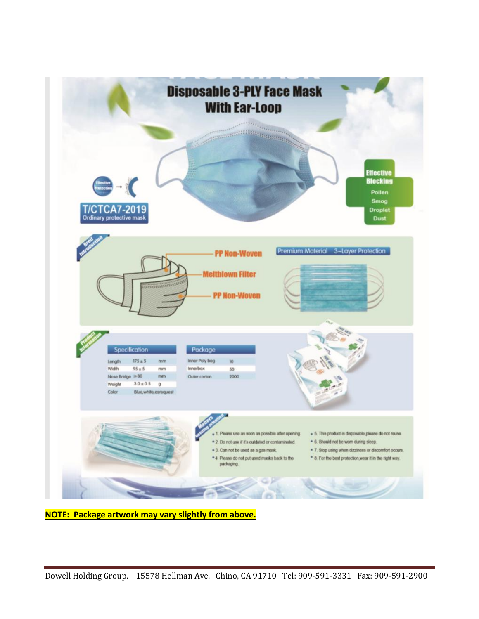

**NOTE: Package artwork may vary slightly from above.**